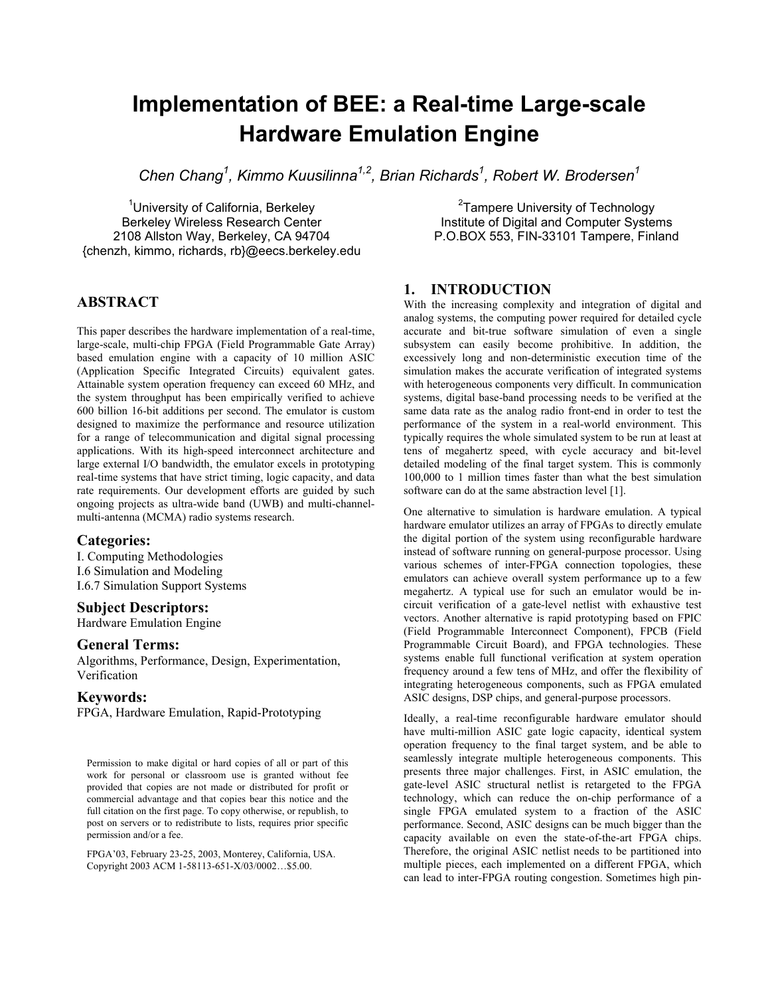# **Implementation of BEE: a Real-time Large-scale Hardware Emulation Engine**

Chen Chang<sup>1</sup>, Kimmo Kuusilinna<sup>1,2</sup>, Brian Richards<sup>1</sup>, Robert W. Brodersen<sup>1</sup>

<sup>1</sup>University of California, Berkeley Berkeley Wireless Research Center 2108 Allston Way, Berkeley, CA 94704 {chenzh, kimmo, richards, rb}@eecs.berkeley.edu

## **ABSTRACT**

This paper describes the hardware implementation of a real-time, large-scale, multi-chip FPGA (Field Programmable Gate Array) based emulation engine with a capacity of 10 million ASIC (Application Specific Integrated Circuits) equivalent gates. Attainable system operation frequency can exceed 60 MHz, and the system throughput has been empirically verified to achieve 600 billion 16-bit additions per second. The emulator is custom designed to maximize the performance and resource utilization for a range of telecommunication and digital signal processing applications. With its high-speed interconnect architecture and large external I/O bandwidth, the emulator excels in prototyping real-time systems that have strict timing, logic capacity, and data rate requirements. Our development efforts are guided by such ongoing projects as ultra-wide band (UWB) and multi-channelmulti-antenna (MCMA) radio systems research.

## **Categories:**

I. Computing Methodologies I.6 Simulation and Modeling I.6.7 Simulation Support Systems

#### **Subject Descriptors:**

Hardware Emulation Engine

### **General Terms:**

Algorithms, Performance, Design, Experimentation, Verification

#### **Keywords:**

FPGA, Hardware Emulation, Rapid-Prototyping

Permission to make digital or hard copies of all or part of this work for personal or classroom use is granted without fee provided that copies are not made or distributed for profit or commercial advantage and that copies bear this notice and the full citation on the first page. To copy otherwise, or republish, to post on servers or to redistribute to lists, requires prior specific permission and/or a fee.

FPGA'03, February 23-25, 2003, Monterey, California, USA. Copyright 2003 ACM 1-58113-651-X/03/0002…\$5.00.

## **1. INTRODUCTION**

With the increasing complexity and integration of digital and analog systems, the computing power required for detailed cycle accurate and bit-true software simulation of even a single subsystem can easily become prohibitive. In addition, the excessively long and non-deterministic execution time of the simulation makes the accurate verification of integrated systems with heterogeneous components very difficult. In communication systems, digital base-band processing needs to be verified at the same data rate as the analog radio front-end in order to test the performance of the system in a real-world environment. This typically requires the whole simulated system to be run at least at tens of megahertz speed, with cycle accuracy and bit-level detailed modeling of the final target system. This is commonly 100,000 to 1 million times faster than what the best simulation software can do at the same abstraction level [1].

<sup>2</sup>Tampere University of Technology Institute of Digital and Computer Systems P.O.BOX 553, FIN-33101 Tampere, Finland

One alternative to simulation is hardware emulation. A typical hardware emulator utilizes an array of FPGAs to directly emulate the digital portion of the system using reconfigurable hardware instead of software running on general-purpose processor. Using various schemes of inter-FPGA connection topologies, these emulators can achieve overall system performance up to a few megahertz. A typical use for such an emulator would be incircuit verification of a gate-level netlist with exhaustive test vectors. Another alternative is rapid prototyping based on FPIC (Field Programmable Interconnect Component), FPCB (Field Programmable Circuit Board), and FPGA technologies. These systems enable full functional verification at system operation frequency around a few tens of MHz, and offer the flexibility of integrating heterogeneous components, such as FPGA emulated ASIC designs, DSP chips, and general-purpose processors.

Ideally, a real-time reconfigurable hardware emulator should have multi-million ASIC gate logic capacity, identical system operation frequency to the final target system, and be able to seamlessly integrate multiple heterogeneous components. This presents three major challenges. First, in ASIC emulation, the gate-level ASIC structural netlist is retargeted to the FPGA technology, which can reduce the on-chip performance of a single FPGA emulated system to a fraction of the ASIC performance. Second, ASIC designs can be much bigger than the capacity available on even the state-of-the-art FPGA chips. Therefore, the original ASIC netlist needs to be partitioned into multiple pieces, each implemented on a different FPGA, which can lead to inter-FPGA routing congestion. Sometimes high pin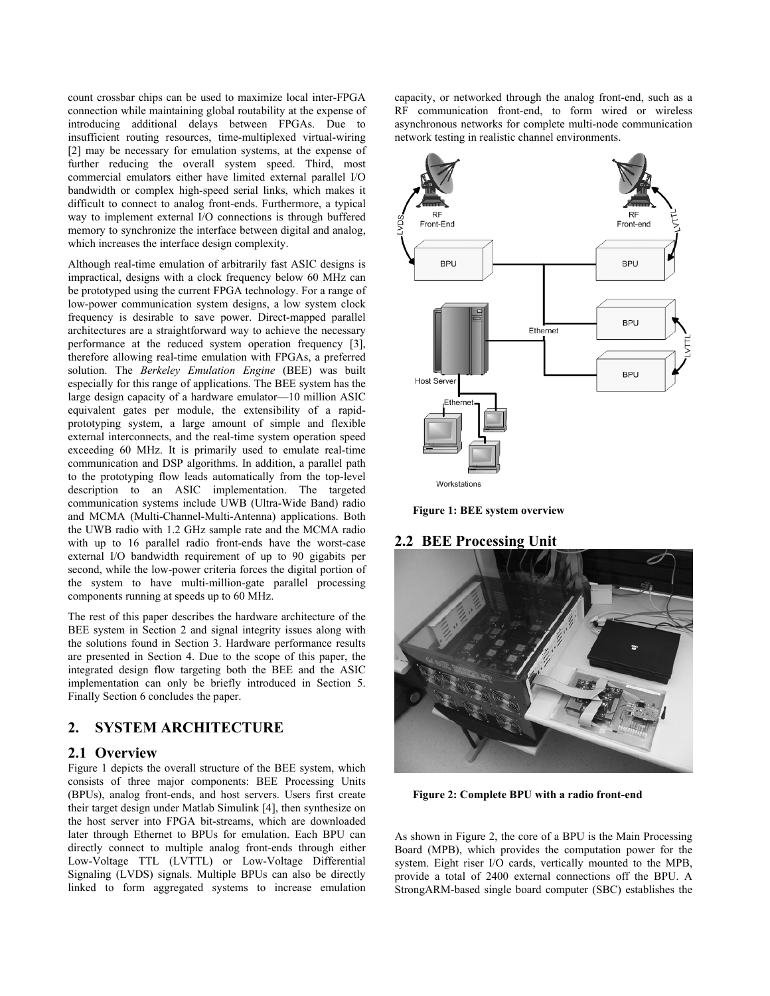count crossbar chips can be used to maximize local inter-FPGA connection while maintaining global routability at the expense of introducing additional delays between FPGAs. Due to insufficient routing resources, time-multiplexed virtual-wiring [2] may be necessary for emulation systems, at the expense of further reducing the overall system speed. Third, most commercial emulators either have limited external parallel I/O bandwidth or complex high-speed serial links, which makes it difficult to connect to analog front-ends. Furthermore, a typical way to implement external I/O connections is through buffered memory to synchronize the interface between digital and analog, which increases the interface design complexity.

Although real-time emulation of arbitrarily fast ASIC designs is impractical, designs with a clock frequency below 60 MHz can be prototyped using the current FPGA technology. For a range of low-power communication system designs, a low system clock frequency is desirable to save power. Direct-mapped parallel architectures are a straightforward way to achieve the necessary performance at the reduced system operation frequency [3], therefore allowing real-time emulation with FPGAs, a preferred solution. The *Berkeley Emulation Engine* (BEE) was built especially for this range of applications. The BEE system has the large design capacity of a hardware emulator—10 million ASIC equivalent gates per module, the extensibility of a rapidprototyping system, a large amount of simple and flexible external interconnects, and the real-time system operation speed exceeding 60 MHz. It is primarily used to emulate real-time communication and DSP algorithms. In addition, a parallel path to the prototyping flow leads automatically from the top-level description to an ASIC implementation. The targeted communication systems include UWB (Ultra-Wide Band) radio and MCMA (Multi-Channel-Multi-Antenna) applications. Both the UWB radio with 1.2 GHz sample rate and the MCMA radio with up to 16 parallel radio front-ends have the worst-case external I/O bandwidth requirement of up to 90 gigabits per second, while the low-power criteria forces the digital portion of the system to have multi-million-gate parallel processing components running at speeds up to 60 MHz.

The rest of this paper describes the hardware architecture of the BEE system in Section 2 and signal integrity issues along with the solutions found in Section 3. Hardware performance results are presented in Section 4. Due to the scope of this paper, the integrated design flow targeting both the BEE and the ASIC implementation can only be briefly introduced in Section 5. Finally Section 6 concludes the paper.

## **2. SYSTEM ARCHITECTURE**

## **2.1 Overview**

Figure 1 depicts the overall structure of the BEE system, which consists of three major components: BEE Processing Units (BPUs), analog front-ends, and host servers. Users first create their target design under Matlab Simulink [4], then synthesize on the host server into FPGA bit-streams, which are downloaded later through Ethernet to BPUs for emulation. Each BPU can directly connect to multiple analog front-ends through either Low-Voltage TTL (LVTTL) or Low-Voltage Differential Signaling (LVDS) signals. Multiple BPUs can also be directly linked to form aggregated systems to increase emulation

capacity, or networked through the analog front-end, such as a RF communication front-end, to form wired or wireless asynchronous networks for complete multi-node communication network testing in realistic channel environments.



**Figure 1: BEE system overview** 

## **2.2 BEE Processing Unit**



**Figure 2: Complete BPU with a radio front-end** 

As shown in Figure 2, the core of a BPU is the Main Processing Board (MPB), which provides the computation power for the system. Eight riser I/O cards, vertically mounted to the MPB, provide a total of 2400 external connections off the BPU. A StrongARM-based single board computer (SBC) establishes the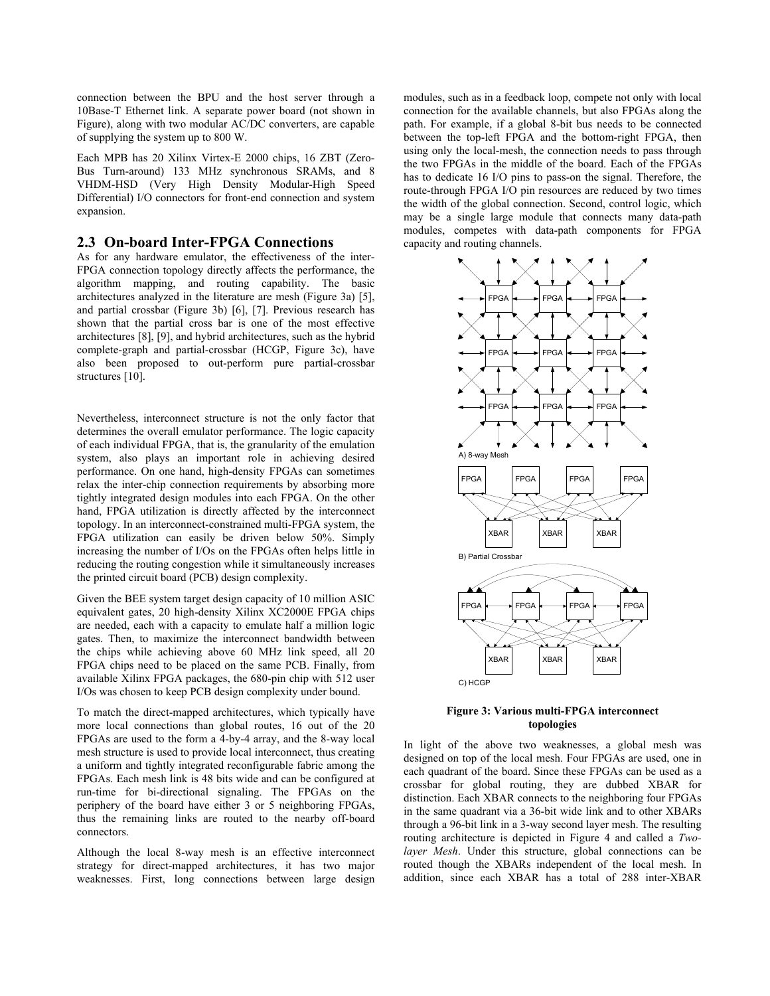connection between the BPU and the host server through a 10Base-T Ethernet link. A separate power board (not shown in Figure), along with two modular AC/DC converters, are capable of supplying the system up to 800 W.

Each MPB has 20 Xilinx Virtex-E 2000 chips, 16 ZBT (Zero-Bus Turn-around) 133 MHz synchronous SRAMs, and 8 VHDM-HSD (Very High Density Modular-High Speed Differential) I/O connectors for front-end connection and system expansion.

#### **2.3 On-board Inter-FPGA Connections**

As for any hardware emulator, the effectiveness of the inter-FPGA connection topology directly affects the performance, the algorithm mapping, and routing capability. The basic architectures analyzed in the literature are mesh (Figure 3a) [5], and partial crossbar (Figure 3b) [6], [7]. Previous research has shown that the partial cross bar is one of the most effective architectures [8], [9], and hybrid architectures, such as the hybrid complete-graph and partial-crossbar (HCGP, Figure 3c), have also been proposed to out-perform pure partial-crossbar structures [10].

Nevertheless, interconnect structure is not the only factor that determines the overall emulator performance. The logic capacity of each individual FPGA, that is, the granularity of the emulation system, also plays an important role in achieving desired performance. On one hand, high-density FPGAs can sometimes relax the inter-chip connection requirements by absorbing more tightly integrated design modules into each FPGA. On the other hand, FPGA utilization is directly affected by the interconnect topology. In an interconnect-constrained multi-FPGA system, the FPGA utilization can easily be driven below 50%. Simply increasing the number of I/Os on the FPGAs often helps little in reducing the routing congestion while it simultaneously increases the printed circuit board (PCB) design complexity.

Given the BEE system target design capacity of 10 million ASIC equivalent gates, 20 high-density Xilinx XC2000E FPGA chips are needed, each with a capacity to emulate half a million logic gates. Then, to maximize the interconnect bandwidth between the chips while achieving above 60 MHz link speed, all 20 FPGA chips need to be placed on the same PCB. Finally, from available Xilinx FPGA packages, the 680-pin chip with 512 user I/Os was chosen to keep PCB design complexity under bound.

To match the direct-mapped architectures, which typically have more local connections than global routes, 16 out of the 20 FPGAs are used to the form a 4-by-4 array, and the 8-way local mesh structure is used to provide local interconnect, thus creating a uniform and tightly integrated reconfigurable fabric among the FPGAs. Each mesh link is 48 bits wide and can be configured at run-time for bi-directional signaling. The FPGAs on the periphery of the board have either 3 or 5 neighboring FPGAs, thus the remaining links are routed to the nearby off-board connectors.

Although the local 8-way mesh is an effective interconnect strategy for direct-mapped architectures, it has two major weaknesses. First, long connections between large design

modules, such as in a feedback loop, compete not only with local connection for the available channels, but also FPGAs along the path. For example, if a global 8-bit bus needs to be connected between the top-left FPGA and the bottom-right FPGA, then using only the local-mesh, the connection needs to pass through the two FPGAs in the middle of the board. Each of the FPGAs has to dedicate 16 I/O pins to pass-on the signal. Therefore, the route-through FPGA I/O pin resources are reduced by two times the width of the global connection. Second, control logic, which may be a single large module that connects many data-path modules, competes with data-path components for FPGA capacity and routing channels.



**Figure 3: Various multi-FPGA interconnect topologies** 

In light of the above two weaknesses, a global mesh was designed on top of the local mesh. Four FPGAs are used, one in each quadrant of the board. Since these FPGAs can be used as a crossbar for global routing, they are dubbed XBAR for distinction. Each XBAR connects to the neighboring four FPGAs in the same quadrant via a 36-bit wide link and to other XBARs through a 96-bit link in a 3-way second layer mesh. The resulting routing architecture is depicted in Figure 4 and called a *Twolayer Mesh*. Under this structure, global connections can be routed though the XBARs independent of the local mesh. In addition, since each XBAR has a total of 288 inter-XBAR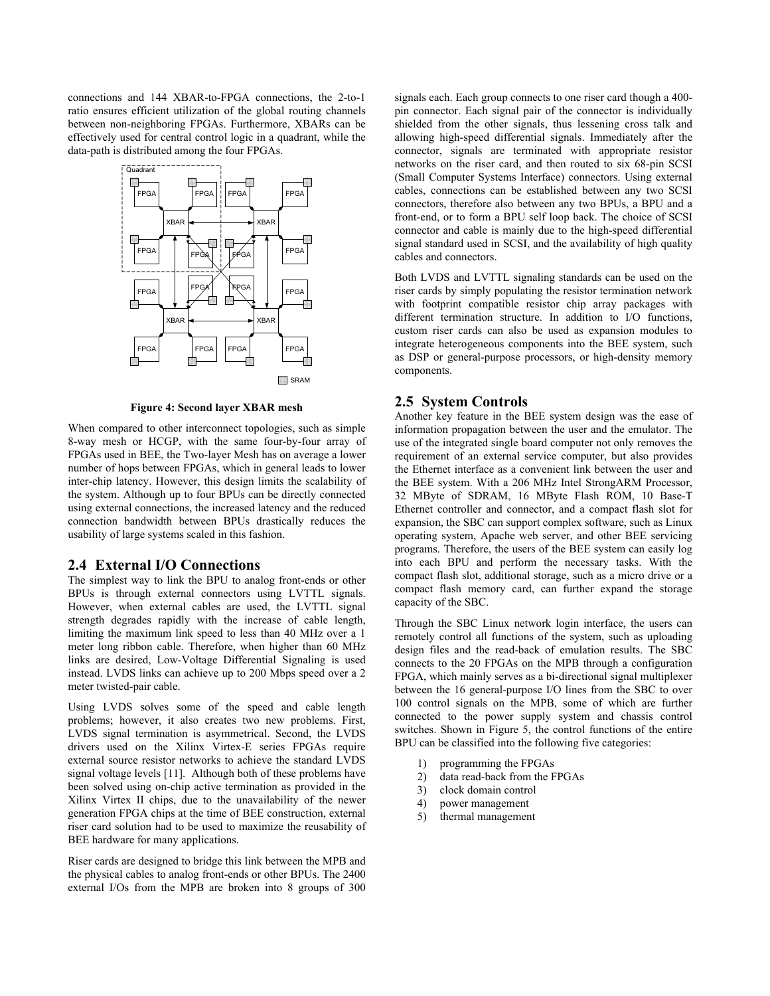connections and 144 XBAR-to-FPGA connections, the 2-to-1 ratio ensures efficient utilization of the global routing channels between non-neighboring FPGAs. Furthermore, XBARs can be effectively used for central control logic in a quadrant, while the data-path is distributed among the four FPGAs.



**Figure 4: Second layer XBAR mesh** 

When compared to other interconnect topologies, such as simple 8-way mesh or HCGP, with the same four-by-four array of FPGAs used in BEE, the Two-layer Mesh has on average a lower number of hops between FPGAs, which in general leads to lower inter-chip latency. However, this design limits the scalability of the system. Although up to four BPUs can be directly connected using external connections, the increased latency and the reduced connection bandwidth between BPUs drastically reduces the usability of large systems scaled in this fashion.

#### **2.4 External I/O Connections**

The simplest way to link the BPU to analog front-ends or other BPUs is through external connectors using LVTTL signals. However, when external cables are used, the LVTTL signal strength degrades rapidly with the increase of cable length, limiting the maximum link speed to less than 40 MHz over a 1 meter long ribbon cable. Therefore, when higher than 60 MHz links are desired, Low-Voltage Differential Signaling is used instead. LVDS links can achieve up to 200 Mbps speed over a 2 meter twisted-pair cable.

Using LVDS solves some of the speed and cable length problems; however, it also creates two new problems. First, LVDS signal termination is asymmetrical. Second, the LVDS drivers used on the Xilinx Virtex-E series FPGAs require external source resistor networks to achieve the standard LVDS signal voltage levels [11]. Although both of these problems have been solved using on-chip active termination as provided in the Xilinx Virtex II chips, due to the unavailability of the newer generation FPGA chips at the time of BEE construction, external riser card solution had to be used to maximize the reusability of BEE hardware for many applications.

Riser cards are designed to bridge this link between the MPB and the physical cables to analog front-ends or other BPUs. The 2400 external I/Os from the MPB are broken into 8 groups of 300

signals each. Each group connects to one riser card though a 400 pin connector. Each signal pair of the connector is individually shielded from the other signals, thus lessening cross talk and allowing high-speed differential signals. Immediately after the connector, signals are terminated with appropriate resistor networks on the riser card, and then routed to six 68-pin SCSI (Small Computer Systems Interface) connectors. Using external cables, connections can be established between any two SCSI connectors, therefore also between any two BPUs, a BPU and a front-end, or to form a BPU self loop back. The choice of SCSI connector and cable is mainly due to the high-speed differential signal standard used in SCSI, and the availability of high quality cables and connectors.

Both LVDS and LVTTL signaling standards can be used on the riser cards by simply populating the resistor termination network with footprint compatible resistor chip array packages with different termination structure. In addition to I/O functions, custom riser cards can also be used as expansion modules to integrate heterogeneous components into the BEE system, such as DSP or general-purpose processors, or high-density memory components.

#### **2.5 System Controls**

Another key feature in the BEE system design was the ease of information propagation between the user and the emulator. The use of the integrated single board computer not only removes the requirement of an external service computer, but also provides the Ethernet interface as a convenient link between the user and the BEE system. With a 206 MHz Intel StrongARM Processor, 32 MByte of SDRAM, 16 MByte Flash ROM, 10 Base-T Ethernet controller and connector, and a compact flash slot for expansion, the SBC can support complex software, such as Linux operating system, Apache web server, and other BEE servicing programs. Therefore, the users of the BEE system can easily log into each BPU and perform the necessary tasks. With the compact flash slot, additional storage, such as a micro drive or a compact flash memory card, can further expand the storage capacity of the SBC.

Through the SBC Linux network login interface, the users can remotely control all functions of the system, such as uploading design files and the read-back of emulation results. The SBC connects to the 20 FPGAs on the MPB through a configuration FPGA, which mainly serves as a bi-directional signal multiplexer between the 16 general-purpose I/O lines from the SBC to over 100 control signals on the MPB, some of which are further connected to the power supply system and chassis control switches. Shown in Figure 5, the control functions of the entire BPU can be classified into the following five categories:

- 1) programming the FPGAs
- 2) data read-back from the FPGAs
- 3) clock domain control
- 4) power management
- 5) thermal management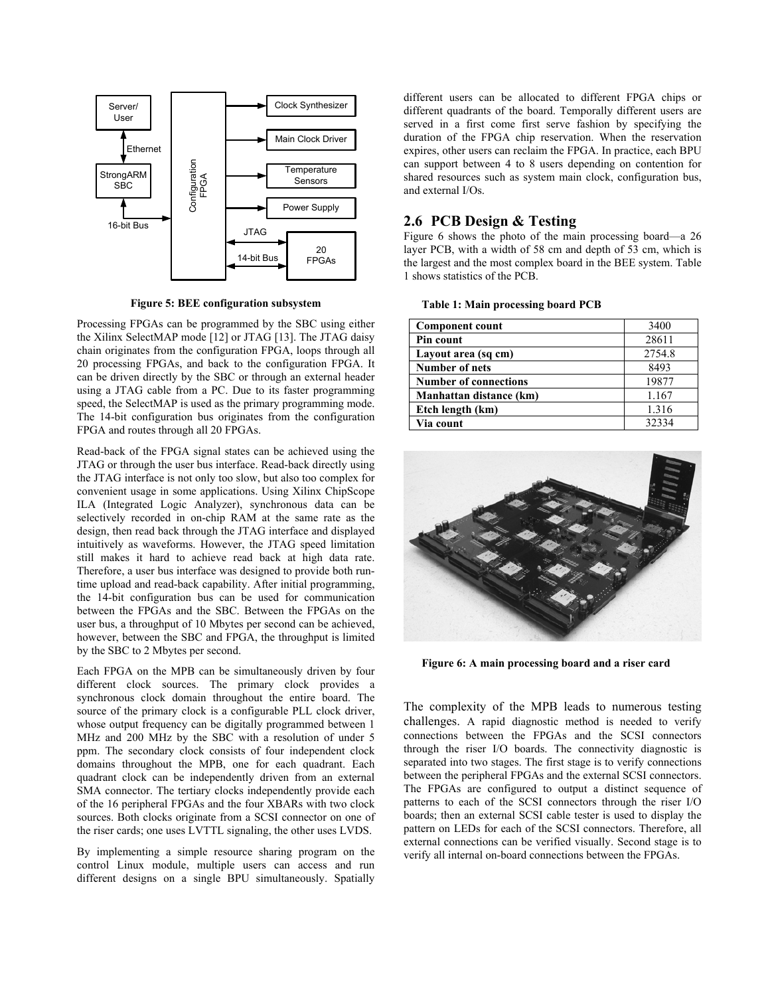

**Figure 5: BEE configuration subsystem** 

Processing FPGAs can be programmed by the SBC using either the Xilinx SelectMAP mode [12] or JTAG [13]. The JTAG daisy chain originates from the configuration FPGA, loops through all 20 processing FPGAs, and back to the configuration FPGA. It can be driven directly by the SBC or through an external header using a JTAG cable from a PC. Due to its faster programming speed, the SelectMAP is used as the primary programming mode. The 14-bit configuration bus originates from the configuration FPGA and routes through all 20 FPGAs.

Read-back of the FPGA signal states can be achieved using the JTAG or through the user bus interface. Read-back directly using the JTAG interface is not only too slow, but also too complex for convenient usage in some applications. Using Xilinx ChipScope ILA (Integrated Logic Analyzer), synchronous data can be selectively recorded in on-chip RAM at the same rate as the design, then read back through the JTAG interface and displayed intuitively as waveforms. However, the JTAG speed limitation still makes it hard to achieve read back at high data rate. Therefore, a user bus interface was designed to provide both runtime upload and read-back capability. After initial programming, the 14-bit configuration bus can be used for communication between the FPGAs and the SBC. Between the FPGAs on the user bus, a throughput of 10 Mbytes per second can be achieved, however, between the SBC and FPGA, the throughput is limited by the SBC to 2 Mbytes per second.

Each FPGA on the MPB can be simultaneously driven by four different clock sources. The primary clock provides a synchronous clock domain throughout the entire board. The source of the primary clock is a configurable PLL clock driver, whose output frequency can be digitally programmed between 1 MHz and 200 MHz by the SBC with a resolution of under 5 ppm. The secondary clock consists of four independent clock domains throughout the MPB, one for each quadrant. Each quadrant clock can be independently driven from an external SMA connector. The tertiary clocks independently provide each of the 16 peripheral FPGAs and the four XBARs with two clock sources. Both clocks originate from a SCSI connector on one of the riser cards; one uses LVTTL signaling, the other uses LVDS.

By implementing a simple resource sharing program on the control Linux module, multiple users can access and run different designs on a single BPU simultaneously. Spatially

different users can be allocated to different FPGA chips or different quadrants of the board. Temporally different users are served in a first come first serve fashion by specifying the duration of the FPGA chip reservation. When the reservation expires, other users can reclaim the FPGA. In practice, each BPU can support between 4 to 8 users depending on contention for shared resources such as system main clock, configuration bus, and external I/Os.

## **2.6 PCB Design & Testing**

Figure 6 shows the photo of the main processing board—a 26 layer PCB, with a width of 58 cm and depth of 53 cm, which is the largest and the most complex board in the BEE system. Table 1 shows statistics of the PCB.

| <b>Component count</b>       | 3400   |
|------------------------------|--------|
| Pin count                    | 28611  |
| Layout area (sq cm)          | 2754.8 |
| <b>Number of nets</b>        | 8493   |
| <b>Number of connections</b> | 19877  |
| Manhattan distance (km)      | 1.167  |
| Etch length (km)             | 1.316  |
| Via count                    | 32334  |

**Table 1: Main processing board PCB** 



**Figure 6: A main processing board and a riser card** 

The complexity of the MPB leads to numerous testing challenges. A rapid diagnostic method is needed to verify connections between the FPGAs and the SCSI connectors through the riser I/O boards. The connectivity diagnostic is separated into two stages. The first stage is to verify connections between the peripheral FPGAs and the external SCSI connectors. The FPGAs are configured to output a distinct sequence of patterns to each of the SCSI connectors through the riser I/O boards; then an external SCSI cable tester is used to display the pattern on LEDs for each of the SCSI connectors. Therefore, all external connections can be verified visually. Second stage is to verify all internal on-board connections between the FPGAs.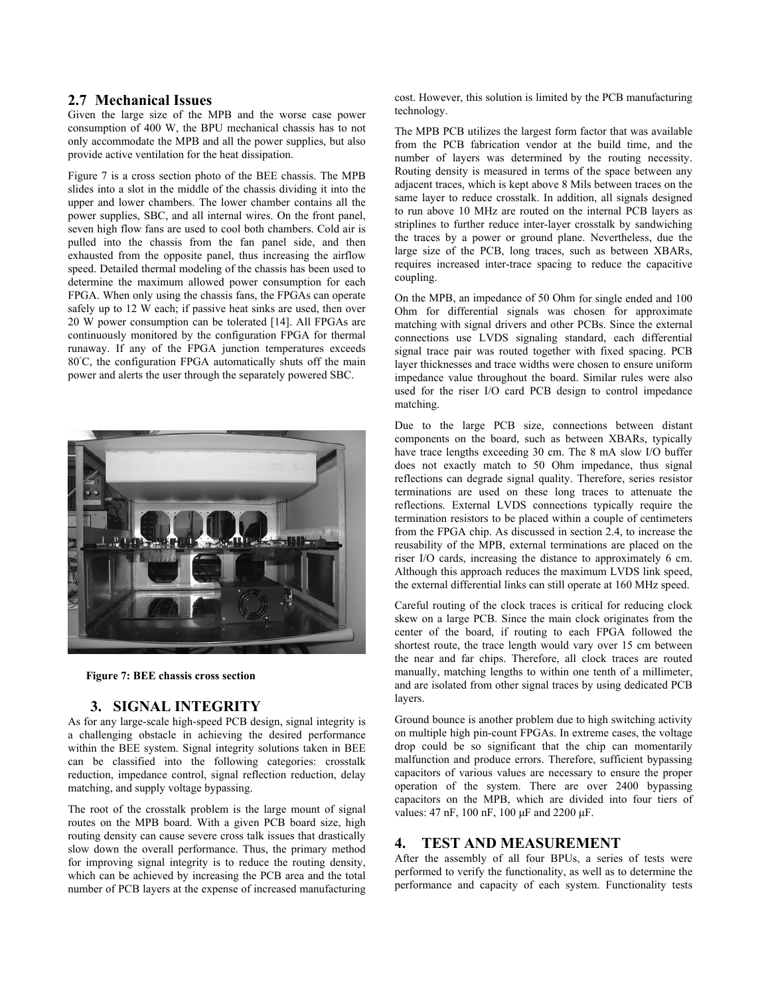## **2.7 Mechanical Issues**

Given the large size of the MPB and the worse case power consumption of 400 W, the BPU mechanical chassis has to not only accommodate the MPB and all the power supplies, but also provide active ventilation for the heat dissipation.

Figure 7 is a cross section photo of the BEE chassis. The MPB slides into a slot in the middle of the chassis dividing it into the upper and lower chambers. The lower chamber contains all the power supplies, SBC, and all internal wires. On the front panel, seven high flow fans are used to cool both chambers. Cold air is pulled into the chassis from the fan panel side, and then exhausted from the opposite panel, thus increasing the airflow speed. Detailed thermal modeling of the chassis has been used to determine the maximum allowed power consumption for each FPGA. When only using the chassis fans, the FPGAs can operate safely up to 12 W each; if passive heat sinks are used, then over 20 W power consumption can be tolerated [14]. All FPGAs are continuously monitored by the configuration FPGA for thermal runaway. If any of the FPGA junction temperatures exceeds 80◦ C, the configuration FPGA automatically shuts off the main power and alerts the user through the separately powered SBC.



**Figure 7: BEE chassis cross section** 

#### **3. SIGNAL INTEGRITY**

As for any large-scale high-speed PCB design, signal integrity is a challenging obstacle in achieving the desired performance within the BEE system. Signal integrity solutions taken in BEE can be classified into the following categories: crosstalk reduction, impedance control, signal reflection reduction, delay matching, and supply voltage bypassing.

The root of the crosstalk problem is the large mount of signal routes on the MPB board. With a given PCB board size, high routing density can cause severe cross talk issues that drastically slow down the overall performance. Thus, the primary method for improving signal integrity is to reduce the routing density, which can be achieved by increasing the PCB area and the total number of PCB layers at the expense of increased manufacturing cost. However, this solution is limited by the PCB manufacturing technology.

The MPB PCB utilizes the largest form factor that was available from the PCB fabrication vendor at the build time, and the number of layers was determined by the routing necessity. Routing density is measured in terms of the space between any adjacent traces, which is kept above 8 Mils between traces on the same layer to reduce crosstalk. In addition, all signals designed to run above 10 MHz are routed on the internal PCB layers as striplines to further reduce inter-layer crosstalk by sandwiching the traces by a power or ground plane. Nevertheless, due the large size of the PCB, long traces, such as between XBARs, requires increased inter-trace spacing to reduce the capacitive coupling.

On the MPB, an impedance of 50 Ohm for single ended and 100 Ohm for differential signals was chosen for approximate matching with signal drivers and other PCBs. Since the external connections use LVDS signaling standard, each differential signal trace pair was routed together with fixed spacing. PCB layer thicknesses and trace widths were chosen to ensure uniform impedance value throughout the board. Similar rules were also used for the riser I/O card PCB design to control impedance matching.

Due to the large PCB size, connections between distant components on the board, such as between XBARs, typically have trace lengths exceeding 30 cm. The 8 mA slow I/O buffer does not exactly match to 50 Ohm impedance, thus signal reflections can degrade signal quality. Therefore, series resistor terminations are used on these long traces to attenuate the reflections. External LVDS connections typically require the termination resistors to be placed within a couple of centimeters from the FPGA chip. As discussed in section 2.4, to increase the reusability of the MPB, external terminations are placed on the riser I/O cards, increasing the distance to approximately 6 cm. Although this approach reduces the maximum LVDS link speed, the external differential links can still operate at 160 MHz speed.

Careful routing of the clock traces is critical for reducing clock skew on a large PCB. Since the main clock originates from the center of the board, if routing to each FPGA followed the shortest route, the trace length would vary over 15 cm between the near and far chips. Therefore, all clock traces are routed manually, matching lengths to within one tenth of a millimeter, and are isolated from other signal traces by using dedicated PCB layers.

Ground bounce is another problem due to high switching activity on multiple high pin-count FPGAs. In extreme cases, the voltage drop could be so significant that the chip can momentarily malfunction and produce errors. Therefore, sufficient bypassing capacitors of various values are necessary to ensure the proper operation of the system. There are over 2400 bypassing capacitors on the MPB, which are divided into four tiers of values: 47 nF, 100 nF, 100 µF and 2200 µF.

#### **4. TEST AND MEASUREMENT**

After the assembly of all four BPUs, a series of tests were performed to verify the functionality, as well as to determine the performance and capacity of each system. Functionality tests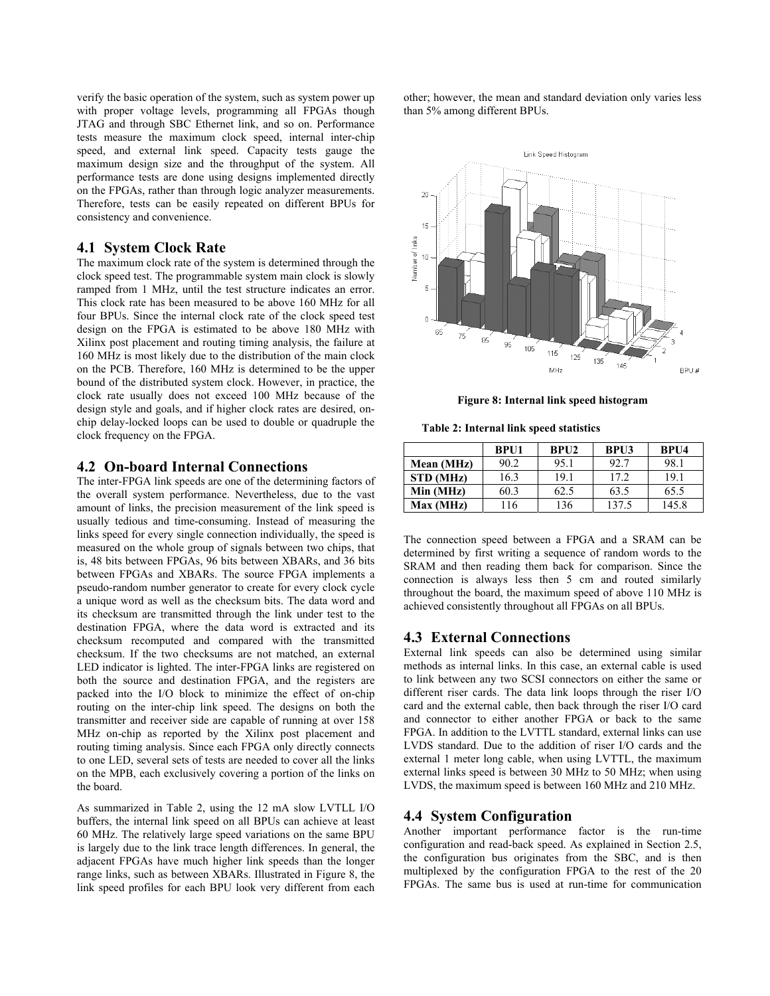verify the basic operation of the system, such as system power up with proper voltage levels, programming all FPGAs though JTAG and through SBC Ethernet link, and so on. Performance tests measure the maximum clock speed, internal inter-chip speed, and external link speed. Capacity tests gauge the maximum design size and the throughput of the system. All performance tests are done using designs implemented directly on the FPGAs, rather than through logic analyzer measurements. Therefore, tests can be easily repeated on different BPUs for consistency and convenience.

## **4.1 System Clock Rate**

The maximum clock rate of the system is determined through the clock speed test. The programmable system main clock is slowly ramped from 1 MHz, until the test structure indicates an error. This clock rate has been measured to be above 160 MHz for all four BPUs. Since the internal clock rate of the clock speed test design on the FPGA is estimated to be above 180 MHz with Xilinx post placement and routing timing analysis, the failure at 160 MHz is most likely due to the distribution of the main clock on the PCB. Therefore, 160 MHz is determined to be the upper bound of the distributed system clock. However, in practice, the clock rate usually does not exceed 100 MHz because of the design style and goals, and if higher clock rates are desired, onchip delay-locked loops can be used to double or quadruple the clock frequency on the FPGA.

## **4.2 On-board Internal Connections**

The inter-FPGA link speeds are one of the determining factors of the overall system performance. Nevertheless, due to the vast amount of links, the precision measurement of the link speed is usually tedious and time-consuming. Instead of measuring the links speed for every single connection individually, the speed is measured on the whole group of signals between two chips, that is, 48 bits between FPGAs, 96 bits between XBARs, and 36 bits between FPGAs and XBARs. The source FPGA implements a pseudo-random number generator to create for every clock cycle a unique word as well as the checksum bits. The data word and its checksum are transmitted through the link under test to the destination FPGA, where the data word is extracted and its checksum recomputed and compared with the transmitted checksum. If the two checksums are not matched, an external LED indicator is lighted. The inter-FPGA links are registered on both the source and destination FPGA, and the registers are packed into the I/O block to minimize the effect of on-chip routing on the inter-chip link speed. The designs on both the transmitter and receiver side are capable of running at over 158 MHz on-chip as reported by the Xilinx post placement and routing timing analysis. Since each FPGA only directly connects to one LED, several sets of tests are needed to cover all the links on the MPB, each exclusively covering a portion of the links on the board.

As summarized in Table 2, using the 12 mA slow LVTLL I/O buffers, the internal link speed on all BPUs can achieve at least 60 MHz. The relatively large speed variations on the same BPU is largely due to the link trace length differences. In general, the adjacent FPGAs have much higher link speeds than the longer range links, such as between XBARs. Illustrated in Figure 8, the link speed profiles for each BPU look very different from each other; however, the mean and standard deviation only varies less than 5% among different BPUs.



**Figure 8: Internal link speed histogram** 

**Table 2: Internal link speed statistics** 

|                  | <b>BPU1</b> | BPI12 | <b>BPU3</b> | BPU4  |
|------------------|-------------|-------|-------------|-------|
| Mean (MHz)       | 90.2        | 95.1  | 92.7        | 98.1  |
| <b>STD</b> (MHz) | 16.3        | 19.1  | 172         | 19.1  |
| Min (MHz)        | 60.3        | 62.5  | 63.5        | 65.5  |
| Max (MHz)        | 116         | 136   | 137.5       | 145.8 |

The connection speed between a FPGA and a SRAM can be determined by first writing a sequence of random words to the SRAM and then reading them back for comparison. Since the connection is always less then 5 cm and routed similarly throughout the board, the maximum speed of above 110 MHz is achieved consistently throughout all FPGAs on all BPUs.

## **4.3 External Connections**

External link speeds can also be determined using similar methods as internal links. In this case, an external cable is used to link between any two SCSI connectors on either the same or different riser cards. The data link loops through the riser I/O card and the external cable, then back through the riser I/O card and connector to either another FPGA or back to the same FPGA. In addition to the LVTTL standard, external links can use LVDS standard. Due to the addition of riser I/O cards and the external 1 meter long cable, when using LVTTL, the maximum external links speed is between 30 MHz to 50 MHz; when using LVDS, the maximum speed is between 160 MHz and 210 MHz.

## **4.4 System Configuration**

Another important performance factor is the run-time configuration and read-back speed. As explained in Section 2.5, the configuration bus originates from the SBC, and is then multiplexed by the configuration FPGA to the rest of the 20 FPGAs. The same bus is used at run-time for communication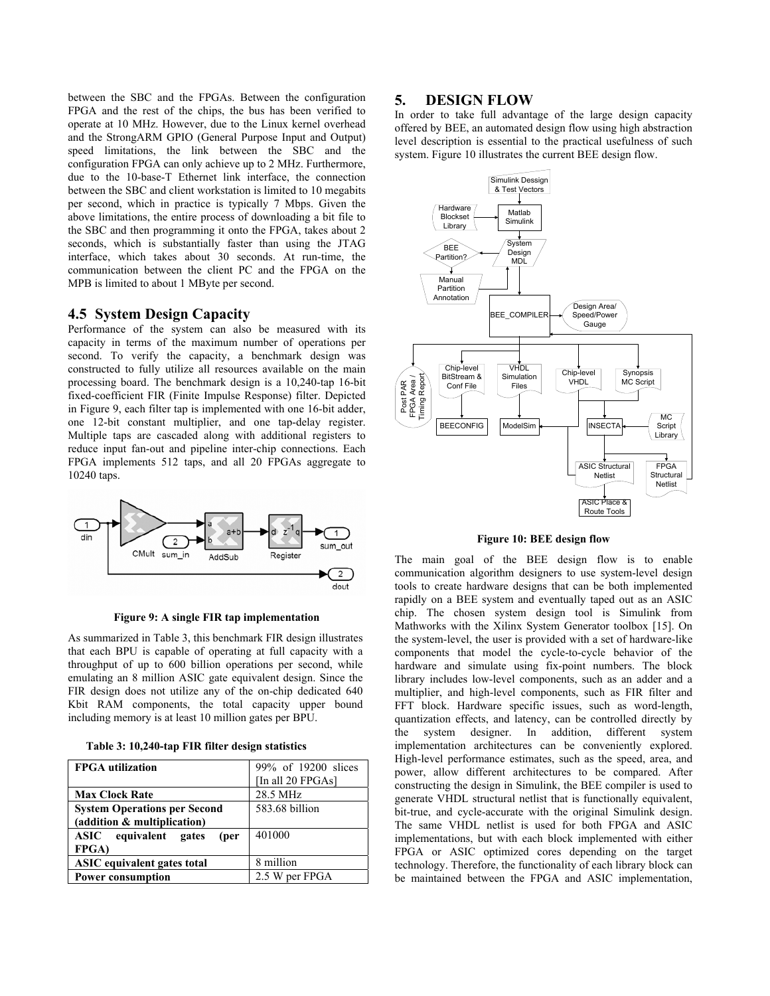between the SBC and the FPGAs. Between the configuration FPGA and the rest of the chips, the bus has been verified to operate at 10 MHz. However, due to the Linux kernel overhead and the StrongARM GPIO (General Purpose Input and Output) speed limitations, the link between the SBC and the configuration FPGA can only achieve up to 2 MHz. Furthermore, due to the 10-base-T Ethernet link interface, the connection between the SBC and client workstation is limited to 10 megabits per second, which in practice is typically 7 Mbps. Given the above limitations, the entire process of downloading a bit file to the SBC and then programming it onto the FPGA, takes about 2 seconds, which is substantially faster than using the JTAG interface, which takes about 30 seconds. At run-time, the communication between the client PC and the FPGA on the MPB is limited to about 1 MByte per second.

#### **4.5 System Design Capacity**

Performance of the system can also be measured with its capacity in terms of the maximum number of operations per second. To verify the capacity, a benchmark design was constructed to fully utilize all resources available on the main processing board. The benchmark design is a 10,240-tap 16-bit fixed-coefficient FIR (Finite Impulse Response) filter. Depicted in Figure 9, each filter tap is implemented with one 16-bit adder, one 12-bit constant multiplier, and one tap-delay register. Multiple taps are cascaded along with additional registers to reduce input fan-out and pipeline inter-chip connections. Each FPGA implements 512 taps, and all 20 FPGAs aggregate to 10240 taps.



**Figure 9: A single FIR tap implementation** 

As summarized in Table 3, this benchmark FIR design illustrates that each BPU is capable of operating at full capacity with a throughput of up to 600 billion operations per second, while emulating an 8 million ASIC gate equivalent design. Since the FIR design does not utilize any of the on-chip dedicated 640 Kbit RAM components, the total capacity upper bound including memory is at least 10 million gates per BPU.

|  |  |  | Table 3: 10,240-tap FIR filter design statistics |
|--|--|--|--------------------------------------------------|
|  |  |  |                                                  |

| <b>FPGA</b> utilization             | 99% of 19200 slices |
|-------------------------------------|---------------------|
|                                     | [In all 20 FPGAs]   |
| <b>Max Clock Rate</b>               | 28.5 MHz            |
| <b>System Operations per Second</b> | 583.68 billion      |
| (addition & multiplication)         |                     |
| ASIC equivalent gates<br>(per       | 401000              |
| <b>FPGA</b> )                       |                     |
| <b>ASIC</b> equivalent gates total  | 8 million           |
| <b>Power consumption</b>            | 2.5 W per FPGA      |

#### **5. DESIGN FLOW**

In order to take full advantage of the large design capacity offered by BEE, an automated design flow using high abstraction level description is essential to the practical usefulness of such system. Figure 10 illustrates the current BEE design flow.



#### **Figure 10: BEE design flow**

The main goal of the BEE design flow is to enable communication algorithm designers to use system-level design tools to create hardware designs that can be both implemented rapidly on a BEE system and eventually taped out as an ASIC chip. The chosen system design tool is Simulink from Mathworks with the Xilinx System Generator toolbox [15]. On the system-level, the user is provided with a set of hardware-like components that model the cycle-to-cycle behavior of the hardware and simulate using fix-point numbers. The block library includes low-level components, such as an adder and a multiplier, and high-level components, such as FIR filter and FFT block. Hardware specific issues, such as word-length, quantization effects, and latency, can be controlled directly by the system designer. In addition, different system implementation architectures can be conveniently explored. High-level performance estimates, such as the speed, area, and power, allow different architectures to be compared. After constructing the design in Simulink, the BEE compiler is used to generate VHDL structural netlist that is functionally equivalent, bit-true, and cycle-accurate with the original Simulink design. The same VHDL netlist is used for both FPGA and ASIC implementations, but with each block implemented with either FPGA or ASIC optimized cores depending on the target technology. Therefore, the functionality of each library block can be maintained between the FPGA and ASIC implementation,